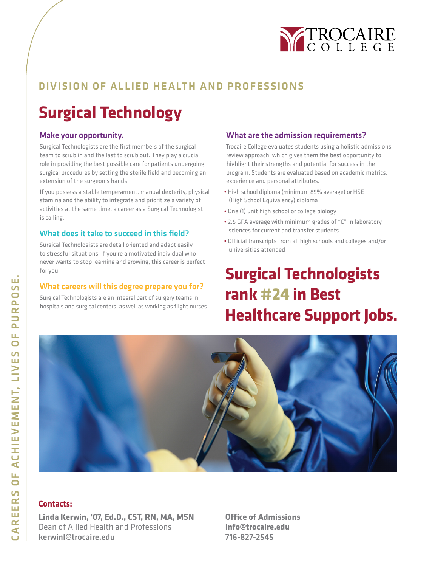

### DIVISION OF ALLIED HEALTH AND PROFESSIONS

# **Surgical Technology**

#### Make your opportunity.

Surgical Technologists are the first members of the surgical team to scrub in and the last to scrub out. They play a crucial role in providing the best possible care for patients undergoing surgical procedures by setting the sterile field and becoming an extension of the surgeon's hands.

If you possess a stable temperament, manual dexterity, physical stamina and the ability to integrate and prioritize a variety of activities at the same time, a career as a Surgical Technologist is calling.

#### What does it take to succeed in this field?

Surgical Technologists are detail oriented and adapt easily to stressful situations. If you're a motivated individual who never wants to stop learning and growing, this career is perfect for you.

#### What careers will this degree prepare you for?

Surgical Technologists are an integral part of surgery teams in hospitals and surgical centers, as well as working as flight nurses.

#### What are the admission requirements?

Trocaire College evaluates students using a holistic admissions review approach, which gives them the best opportunity to highlight their strengths and potential for success in the program. Students are evaluated based on academic metrics, experience and personal attributes.

- High school diploma (minimum 85% average) or HSE (High School Equivalency) diploma
- One (1) unit high school or college biology
- 2.5 GPA average with minimum grades of "C" in laboratory sciences for current and transfer students
- Official transcripts from all high schools and colleges and/or universities attended

## **Surgical Technologists rank #24 in Best Healthcare Support Jobs.**



#### **Contacts:**

**Linda Kerwin, '07, Ed.D., CST, RN, MA, MSN** Dean of Allied Health and Professions kerwinl@trocaire.edu

**Office of Admissions info@trocaire.edu** 716-827-2545